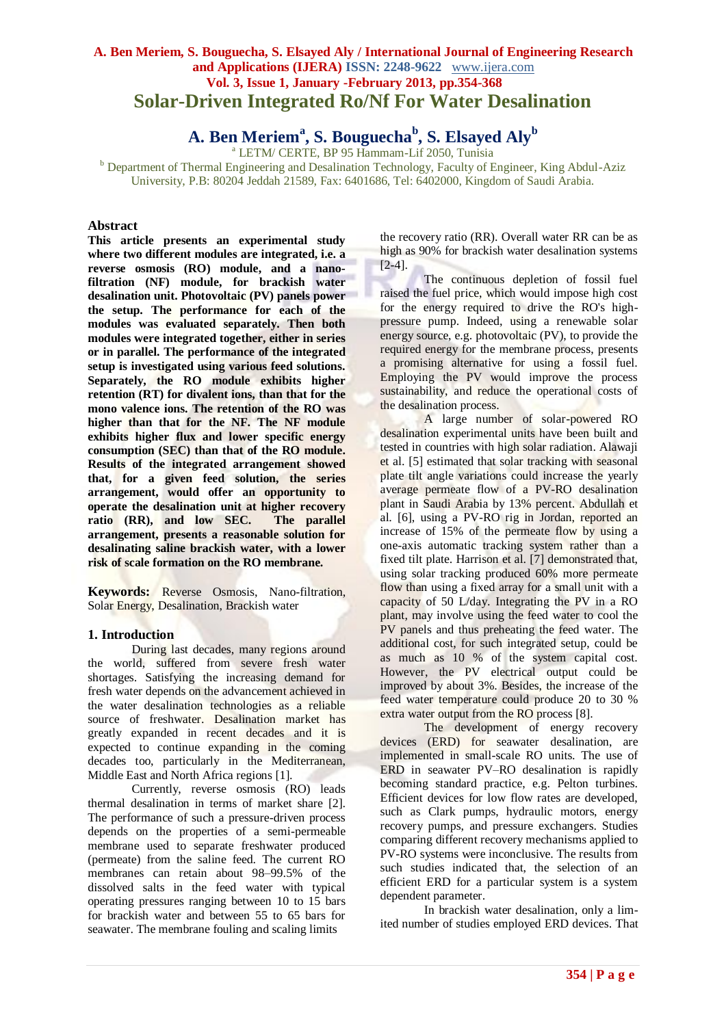# **A. Ben Meriem, S. Bouguecha, S. Elsayed Aly / International Journal of Engineering Research and Applications (IJERA) ISSN: 2248-9622** www.ijera.com **Vol. 3, Issue 1, January -February 2013, pp.354-368 Solar-Driven Integrated Ro/Nf For Water Desalination**

**A. Ben Meriem<sup>a</sup> , S. Bouguecha<sup>b</sup> , S. Elsayed Aly<sup>b</sup>**

<sup>a</sup> LETM/ CERTE, BP 95 Hammam-Lif 2050, Tunisia

<sup>b</sup> Department of Thermal Engineering and Desalination Technology, Faculty of Engineer, King Abdul-Aziz University, P.B: 80204 Jeddah 21589, Fax: 6401686, Tel: 6402000, Kingdom of Saudi Arabia.

## **Abstract**

**This article presents an experimental study where two different modules are integrated, i.e. a reverse osmosis (RO) module, and a nanofiltration (NF) module, for brackish water desalination unit. Photovoltaic (PV) panels power the setup. The performance for each of the modules was evaluated separately. Then both modules were integrated together, either in series or in parallel. The performance of the integrated setup is investigated using various feed solutions. Separately, the RO module exhibits higher retention (RT) for divalent ions, than that for the mono valence ions. The retention of the RO was higher than that for the NF. The NF module exhibits higher flux and lower specific energy consumption (SEC) than that of the RO module. Results of the integrated arrangement showed that, for a given feed solution, the series arrangement, would offer an opportunity to operate the desalination unit at higher recovery ratio (RR), and low SEC.** The parallel ratio (RR), and low SEC. **arrangement, presents a reasonable solution for desalinating saline brackish water, with a lower risk of scale formation on the RO membrane.**

**Keywords:** Reverse Osmosis, Nano-filtration, Solar Energy, Desalination, Brackish water

#### **1. Introduction**

During last decades, many regions around the world, suffered from severe fresh water shortages. Satisfying the increasing demand for fresh water depends on the advancement achieved in the water desalination technologies as a reliable source of freshwater. Desalination market has greatly expanded in recent decades and it is expected to continue expanding in the coming decades too, particularly in the Mediterranean, Middle East and North Africa regions [1].

Currently, reverse osmosis (RO) leads thermal desalination in terms of market share [2]. The performance of such a pressure-driven process depends on the properties of a semi-permeable membrane used to separate freshwater produced (permeate) from the saline feed. The current RO membranes can retain about 98–99.5% of the dissolved salts in the feed water with typical operating pressures ranging between 10 to 15 bars for brackish water and between 55 to 65 bars for seawater. The membrane fouling and scaling limits

the recovery ratio (RR). Overall water RR can be as high as 90% for brackish water desalination systems [2-4].

The continuous depletion of fossil fuel raised the fuel price, which would impose high cost for the energy required to drive the RO's highpressure pump. Indeed, using a renewable solar energy source, e.g. photovoltaic (PV), to provide the required energy for the membrane process, presents a promising alternative for using a fossil fuel. Employing the PV would improve the process sustainability, and reduce the operational costs of the desalination process.

A large number of solar-powered RO desalination experimental units have been built and tested in countries with high solar radiation. Alawaji et al. [5] estimated that solar tracking with seasonal plate tilt angle variations could increase the yearly average permeate flow of a PV-RO desalination plant in Saudi Arabia by 13% percent. Abdullah et al. [6], using a PV-RO rig in Jordan, reported an increase of 15% of the permeate flow by using a one-axis automatic tracking system rather than a fixed tilt plate. Harrison et al. [7] demonstrated that, using solar tracking produced 60% more permeate flow than using a fixed array for a small unit with a capacity of 50 L/day. Integrating the PV in a RO plant, may involve using the feed water to cool the PV panels and thus preheating the feed water. The additional cost, for such integrated setup, could be as much as 10 % of the system capital cost. However, the PV electrical output could be improved by about 3%. Besides, the increase of the feed water temperature could produce 20 to 30 % extra water output from the RO process [8].

The development of energy recovery devices (ERD) for seawater desalination, are implemented in small-scale RO units. The use of ERD in seawater PV–RO desalination is rapidly becoming standard practice, e.g. Pelton turbines. Efficient devices for low flow rates are developed, such as Clark pumps, hydraulic motors, energy recovery pumps, and pressure exchangers. Studies comparing different recovery mechanisms applied to PV-RO systems were inconclusive. The results from such studies indicated that, the selection of an efficient ERD for a particular system is a system dependent parameter.

In brackish water desalination, only a limited number of studies employed ERD devices. That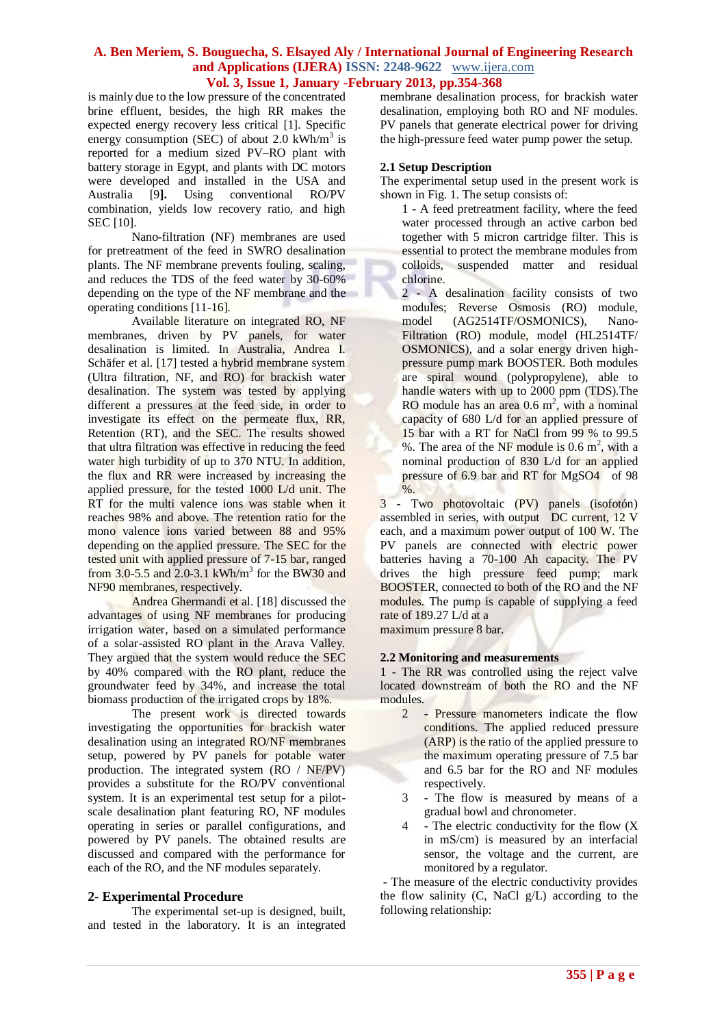is mainly due to the low pressure of the concentrated brine effluent, besides, the high RR makes the expected energy recovery less critical [1]. Specific energy consumption (SEC) of about  $2.0 \text{ kWh/m}^3$  is reported for a medium sized PV–RO plant with battery storage in Egypt, and plants with DC motors were developed and installed in the USA and Australia [9**].** Using conventional RO/PV combination, yields low recovery ratio, and high **SEC [10].** 

Nano-filtration (NF) membranes are used for pretreatment of the feed in SWRO desalination plants. The NF membrane prevents fouling, scaling, and reduces the TDS of the feed water by 30-60% depending on the type of the NF membrane and the operating conditions [11-16].

Available literature on integrated RO, NF membranes, driven by PV panels, for water desalination is limited. In Australia, Andrea I. Schäfer et al. [17] tested a hybrid membrane system (Ultra filtration, NF, and RO) for brackish water desalination. The system was tested by applying different a pressures at the feed side, in order to investigate its effect on the permeate flux, RR, Retention (RT), and the SEC. The results showed that ultra filtration was effective in reducing the feed water high turbidity of up to 370 NTU. In addition, the flux and RR were increased by increasing the applied pressure, for the tested 1000 L/d unit. The RT for the multi valence ions was stable when it reaches 98% and above. The retention ratio for the mono valence ions varied between 88 and 95% depending on the applied pressure. The SEC for the tested unit with applied pressure of 7-15 bar, ranged from 3.0-5.5 and 2.0-3.1 kWh/m<sup>3</sup> for the BW30 and NF90 membranes, respectively.

Andrea Ghermandi et al. [18] discussed the advantages of using NF membranes for producing irrigation water, based on a simulated performance of a solar-assisted RO plant in the Arava Valley. They argued that the system would reduce the SEC by 40% compared with the RO plant, reduce the groundwater feed by 34%, and increase the total biomass production of the irrigated crops by 18%.

The present work is directed towards investigating the opportunities for brackish water desalination using an integrated RO/NF membranes setup, powered by PV panels for potable water production. The integrated system (RO / NF/PV) provides a substitute for the RO/PV conventional system. It is an experimental test setup for a pilotscale desalination plant featuring RO, NF modules operating in series or parallel configurations, and powered by PV panels. The obtained results are discussed and compared with the performance for each of the RO, and the NF modules separately.

## **2- Experimental Procedure**

The experimental set-up is designed, built, and tested in the laboratory. It is an integrated membrane desalination process, for brackish water desalination, employing both RO and NF modules. PV panels that generate electrical power for driving the high-pressure feed water pump power the setup.

#### **2.1 Setup Description**

The experimental setup used in the present work is shown in Fig. 1. The setup consists of:

1 - A feed pretreatment facility, where the feed water processed through an active carbon bed together with 5 micron cartridge filter. This is essential to protect the membrane modules from colloids, suspended matter and residual chlorine.

2 - A desalination facility consists of two modules; Reverse Osmosis (RO) module, model (AG2514TF/OSMONICS), Nano-Filtration (RO) module, model (HL2514TF/ OSMONICS), and a solar energy driven highpressure pump mark BOOSTER. Both modules are spiral wound (polypropylene), able to handle waters with up to 2000 ppm (TDS).The RO module has an area  $0.6 \text{ m}^2$ , with a nominal capacity of 680 L/d for an applied pressure of 15 bar with a RT for NaCl from 99 % to 99.5 %. The area of the NF module is  $0.6 \text{ m}^2$ , with a nominal production of 830 L/d for an applied pressure of 6.9 bar and RT for MgSO4 of 98  $%$ 

3 - Two photovoltaic (PV) panels (isofotón) assembled in series, with output DC current, 12 V each, and a maximum power output of 100 W. The PV panels are connected with electric power batteries having a 70-100 Ah capacity. The PV drives the high pressure feed pump; mark BOOSTER, connected to both of the RO and the NF modules. The pump is capable of supplying a feed rate of 189.27 L/d at a

maximum pressure 8 bar.

#### **2.2 Monitoring and measurements**

1 - The RR was controlled using the reject valve located downstream of both the RO and the NF modules.

- 2 Pressure manometers indicate the flow conditions. The applied reduced pressure (ARP) is the ratio of the applied pressure to the maximum operating pressure of 7.5 bar and 6.5 bar for the RO and NF modules respectively.
- 3 The flow is measured by means of a gradual bowl and chronometer.
- 4 The electric conductivity for the flow (X in mS/cm) is measured by an interfacial sensor, the voltage and the current, are monitored by a regulator.

- The measure of the electric conductivity provides the flow salinity  $(C, NaCl g/L)$  according to the following relationship: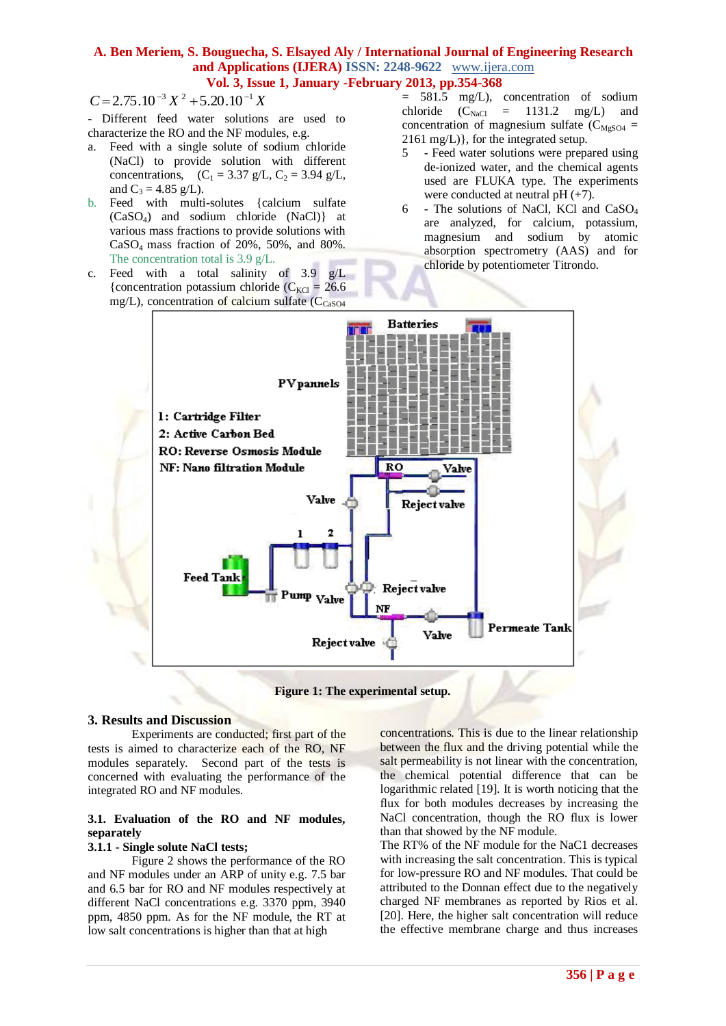$= 2.75.10^{-3} X^2 + 5.20.10^{-1}$ 

- Different feed water solutions are used to characterize the RO and the NF modules, e.g.

- a. Feed with a single solute of sodium chloride (NaCl) to provide solution with different concentrations,  $(C_1 = 3.37 \text{ g/L}, C_2 = 3.94 \text{ g/L},$ and  $C_3 = 4.85$  g/L).
- b. Feed with multi-solutes {calcium sulfate (CaSO4) and sodium chloride (NaCl)} at various mass fractions to provide solutions with  $CaSO<sub>4</sub>$  mass fraction of 20%, 50%, and 80%. The concentration total is 3.9 g/L.
- c. Feed with a total salinity of  $3.9$  g/L {concentration potassium chloride  $(C_{\text{KCl}} = 26.6$ mg/L), concentration of calcium sulfate  $(C_{\text{CaSO4}})$
- = 581.5 mg/L), concentration of sodium chloride  $(C_{\text{NaCl}} = 1131.2 \text{ mg/L})$  and concentration of magnesium sulfate  $(C_{MgS04} =$ 2161 mg/L)}, for the integrated setup.
- 5 Feed water solutions were prepared using de-ionized water, and the chemical agents used are FLUKA type. The experiments were conducted at neutral  $pH (+7)$ .
- $6$  The solutions of NaCl, KCl and CaSO<sub>4</sub> are analyzed, for calcium, potassium, magnesium and sodium by atomic absorption spectrometry (AAS) and for chloride by potentiometer Titrondo.



**Figure 1: The experimental setup.**

#### **3. Results and Discussion**

Experiments are conducted; first part of the tests is aimed to characterize each of the RO, NF modules separately. Second part of the tests is concerned with evaluating the performance of the integrated RO and NF modules.

#### **3.1. Evaluation of the RO and NF modules, separately**

#### **3.1.1 - Single solute NaCl tests;**

Figure 2 shows the performance of the RO and NF modules under an ARP of unity e.g. 7.5 bar and 6.5 bar for RO and NF modules respectively at different NaCl concentrations e.g. 3370 ppm, 3940 ppm, 4850 ppm. As for the NF module, the RT at low salt concentrations is higher than that at high

concentrations. This is due to the linear relationship between the flux and the driving potential while the salt permeability is not linear with the concentration, the chemical potential difference that can be logarithmic related [19]. It is worth noticing that the flux for both modules decreases by increasing the NaCl concentration, though the RO flux is lower than that showed by the NF module.

The RT% of the NF module for the NaC1 decreases with increasing the salt concentration. This is typical for low-pressure RO and NF modules. That could be attributed to the Donnan effect due to the negatively charged NF membranes as reported by Rios et al. [20]. Here, the higher salt concentration will reduce the effective membrane charge and thus increases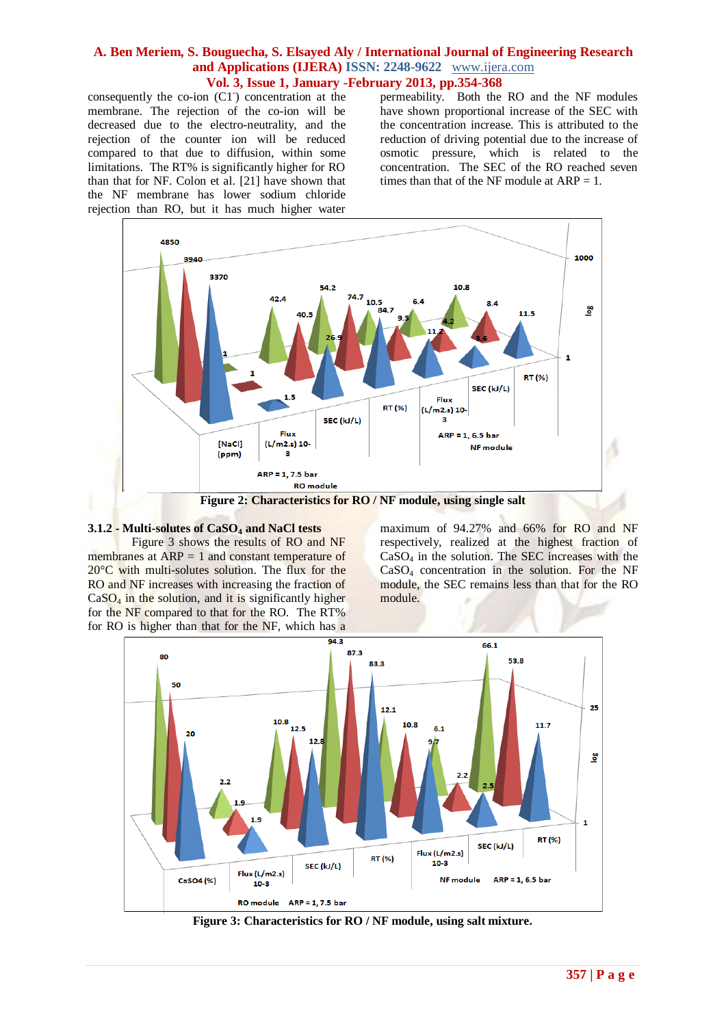consequently the co-ion (C1<sup>-</sup>) concentration at the membrane. The rejection of the co-ion will be decreased due to the electro-neutrality, and the rejection of the counter ion will be reduced compared to that due to diffusion, within some limitations. The RT% is significantly higher for RO than that for NF. Colon et al. [21] have shown that the NF membrane has lower sodium chloride rejection than RO, but it has much higher water

permeability. Both the RO and the NF modules have shown proportional increase of the SEC with the concentration increase. This is attributed to the reduction of driving potential due to the increase of osmotic pressure, which is related to the concentration. The SEC of the RO reached seven times than that of the NF module at  $ARP = 1$ .



#### **3.1.2 - Multi-solutes of CaSO<sup>4</sup> and NaCl tests**

Figure 3 shows the results of RO and NF membranes at ARP = 1 and constant temperature of 20°C with multi-solutes solution. The flux for the RO and NF increases with increasing the fraction of  $CaSO<sub>4</sub>$  in the solution, and it is significantly higher for the NF compared to that for the RO. The RT% for RO is higher than that for the NF, which has a

maximum of 94.27% and 66% for RO and NF respectively, realized at the highest fraction of CaSO<sup>4</sup> in the solution. The SEC increases with the  $CaSO<sub>4</sub>$  concentration in the solution. For the NF module, the SEC remains less than that for the RO module.



**Figure 3: Characteristics for RO / NF module, using salt mixture.**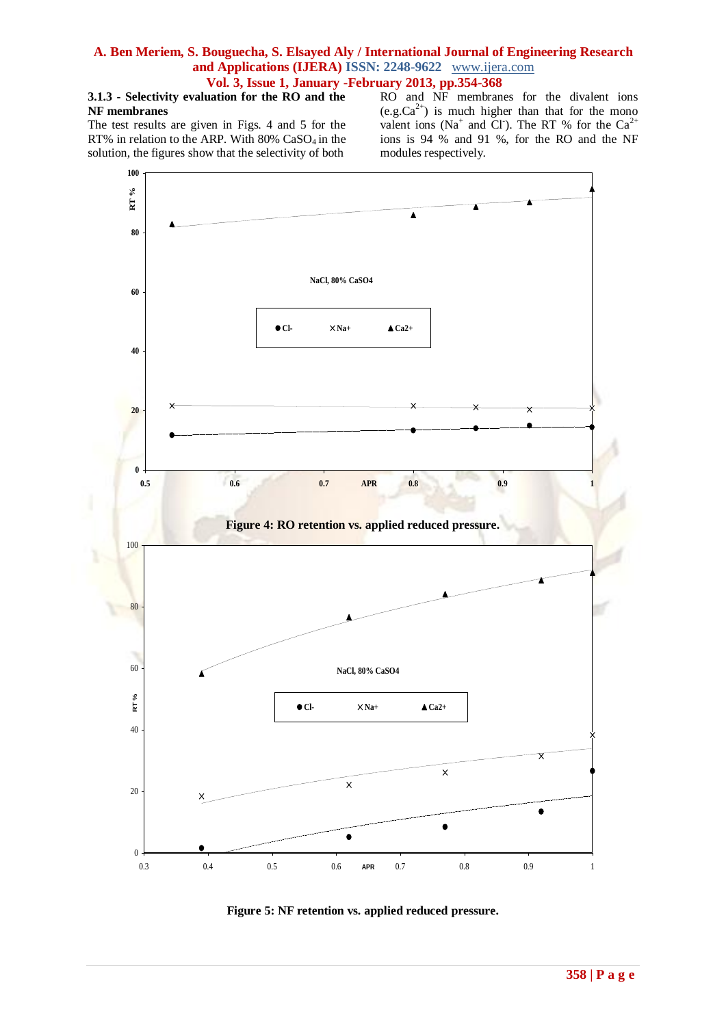## **3.1.3 - Selectivity evaluation for the RO and the NF membranes**

The test results are given in Figs. 4 and 5 for the RT% in relation to the ARP. With  $80\%$  CaSO<sub>4</sub> in the solution, the figures show that the selectivity of both

RO and NF membranes for the divalent ions  $(e.g.Ca<sup>2+</sup>)$  is much higher than that for the mono valent ions (Na<sup>+</sup> and Cl<sup>-</sup>). The RT % for the Ca<sup>2+</sup> ions is 94 % and 91 %, for the RO and the NF modules respectively.



**Figure 5: NF retention vs. applied reduced pressure.**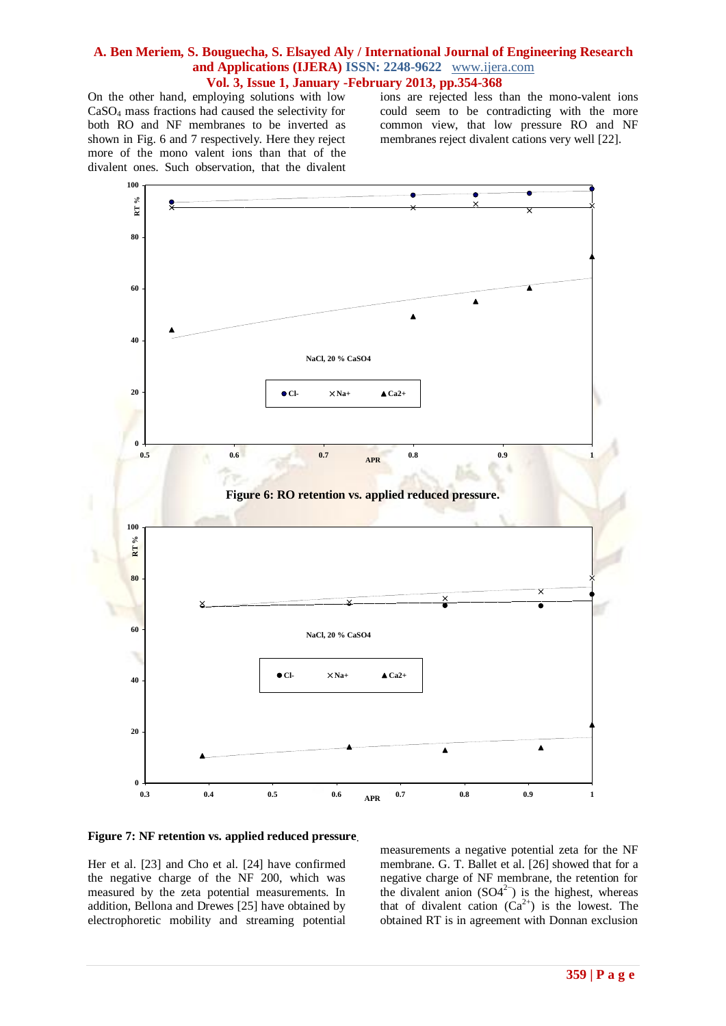On the other hand, employing solutions with low CaSO<sup>4</sup> mass fractions had caused the selectivity for both RO and NF membranes to be inverted as shown in Fig. 6 and 7 respectively. Here they reject more of the mono valent ions than that of the divalent ones. Such observation, that the divalent ions are rejected less than the mono-valent ions could seem to be contradicting with the more common view, that low pressure RO and NF membranes reject divalent cations very well [22].



#### **Figure 7: NF retention vs. applied reduced pressure.**

Her et al. [23] and Cho et al. [24] have confirmed the negative charge of the NF 200, which was measured by the zeta potential measurements. In addition, Bellona and Drewes [25] have obtained by electrophoretic mobility and streaming potential measurements a negative potential zeta for the NF membrane. G. T. Ballet et al. [26] showed that for a negative charge of NF membrane, the retention for the divalent anion  $(SO4^{2-})$  is the highest, whereas that of divalent cation  $(Ca^{2+})$  is the lowest. The obtained RT is in agreement with Donnan exclusion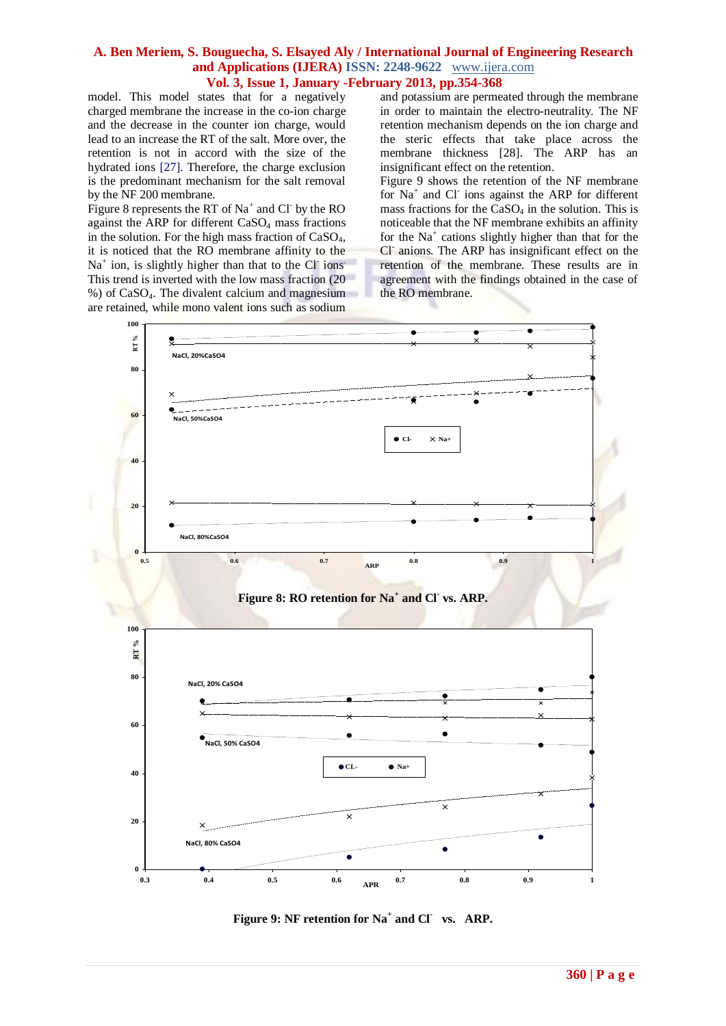model. This model states that for a negatively charged membrane the increase in the co-ion charge and the decrease in the counter ion charge, would lead to an increase the RT of the salt. More over, the retention is not in accord with the size of the hydrated ions [27]. Therefore, the charge exclusion is the predominant mechanism for the salt removal by the NF 200 membrane.

Figure 8 represents the RT of  $Na^+$  and Cl by the RO against the ARP for different  $CaSO<sub>4</sub>$  mass fractions in the solution. For the high mass fraction of  $CaSO<sub>4</sub>$ , it is noticed that the RO membrane affinity to the Na<sup>+</sup> ion, is slightly higher than that to the Cl ions<sup>.</sup> This trend is inverted with the low mass fraction (20 %) of CaSO4. The divalent calcium and magnesium are retained, while mono valent ions such as sodium

and potassium are permeated through the membrane in order to maintain the electro-neutrality. The NF retention mechanism depends on the ion charge and the steric effects that take place across the membrane thickness [28]. The ARP has an insignificant effect on the retention.

Figure 9 shows the retention of the NF membrane for Na<sup>+</sup> and Cl<sup>-</sup> ions against the ARP for different mass fractions for the  $CaSO<sub>4</sub>$  in the solution. This is noticeable that the NF membrane exhibits an affinity for the Na<sup>+</sup> cations slightly higher than that for the Cl<sup>-</sup> anions. The ARP has insignificant effect on the retention of the membrane. These results are in agreement with the findings obtained in the case of the RO membrane.







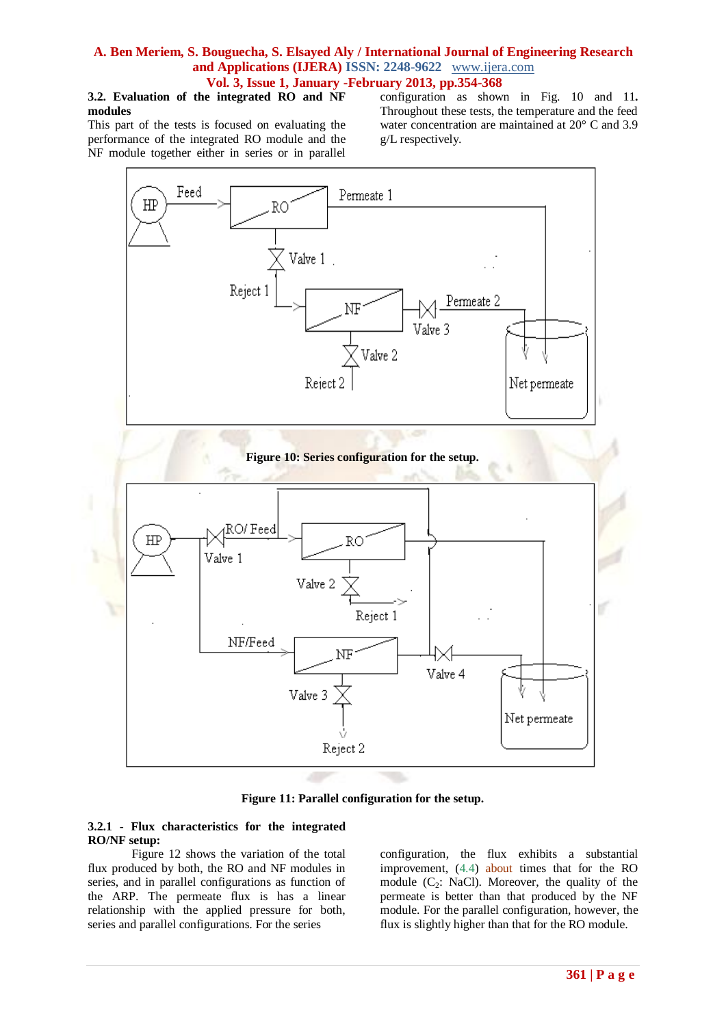## **3.2. Evaluation of the integrated RO and NF modules**

This part of the tests is focused on evaluating the performance of the integrated RO module and the NF module together either in series or in parallel configuration as shown in Fig. 10 and 11**.** Throughout these tests, the temperature and the feed water concentration are maintained at 20° C and 3.9 g/L respectively.



**Figure 11: Parallel configuration for the setup.**

## **3.2.1 - Flux characteristics for the integrated RO/NF setup:**

Figure 12 shows the variation of the total flux produced by both, the RO and NF modules in series, and in parallel configurations as function of the ARP. The permeate flux is has a linear relationship with the applied pressure for both, series and parallel configurations. For the series

configuration, the flux exhibits a substantial improvement, (4.4) about times that for the RO module  $(C_2$ : NaCl). Moreover, the quality of the permeate is better than that produced by the NF module. For the parallel configuration, however, the flux is slightly higher than that for the RO module.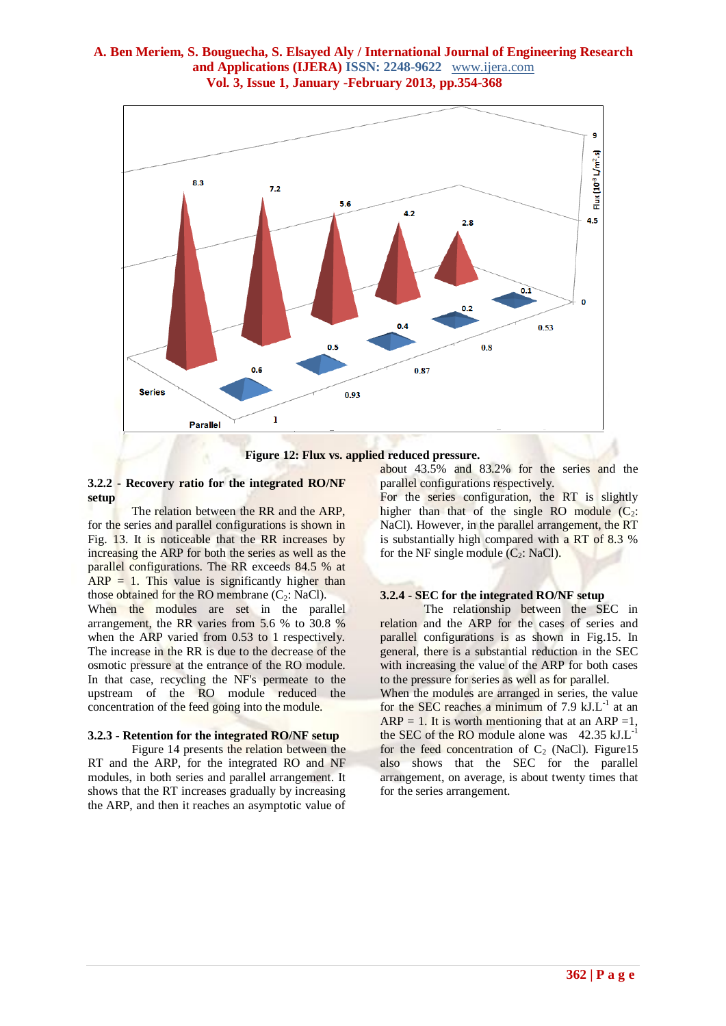

**Figure 12: Flux vs. applied reduced pressure.**

#### **3.2.2 - Recovery ratio for the integrated RO/NF setup**

The relation between the RR and the ARP, for the series and parallel configurations is shown in Fig. 13. It is noticeable that the RR increases by increasing the ARP for both the series as well as the parallel configurations. The RR exceeds 84.5 % at  $ARP = 1$ . This value is significantly higher than those obtained for the RO membrane  $(C_2; \text{NaCl})$ . When the modules are set in the parallel arrangement, the RR varies from 5.6 % to 30.8 % when the ARP varied from 0.53 to 1 respectively. The increase in the RR is due to the decrease of the osmotic pressure at the entrance of the RO module. In that case, recycling the NF's permeate to the upstream of the RO module reduced the concentration of the feed going into the module.

#### **3.2.3 - Retention for the integrated RO/NF setup**

Figure 14 presents the relation between the RT and the ARP, for the integrated RO and NF modules, in both series and parallel arrangement. It shows that the RT increases gradually by increasing the ARP, and then it reaches an asymptotic value of

about 43.5% and 83.2% for the series and the parallel configurations respectively.

For the series configuration, the RT is slightly higher than that of the single RO module  $(C_2)$ : NaCl). However, in the parallel arrangement, the RT is substantially high compared with a RT of 8.3 % for the NF single module  $(C_2: NaCl)$ .

## **3.2.4 - SEC for the integrated RO/NF setup**

The relationship between the SEC in relation and the ARP for the cases of series and parallel configurations is as shown in Fig.15. In general, there is a substantial reduction in the SEC with increasing the value of the ARP for both cases to the pressure for series as well as for parallel.

When the modules are arranged in series, the value for the SEC reaches a minimum of  $7.9 \text{ kJ.L}^{-1}$  at an  $ARP = 1$ . It is worth mentioning that at an ARP = 1, the SEC of the RO module alone was  $42.35 \text{ kJ.L}^{-1}$ for the feed concentration of  $C_2$  (NaCl). Figure15 also shows that the SEC for the parallel arrangement, on average, is about twenty times that for the series arrangement.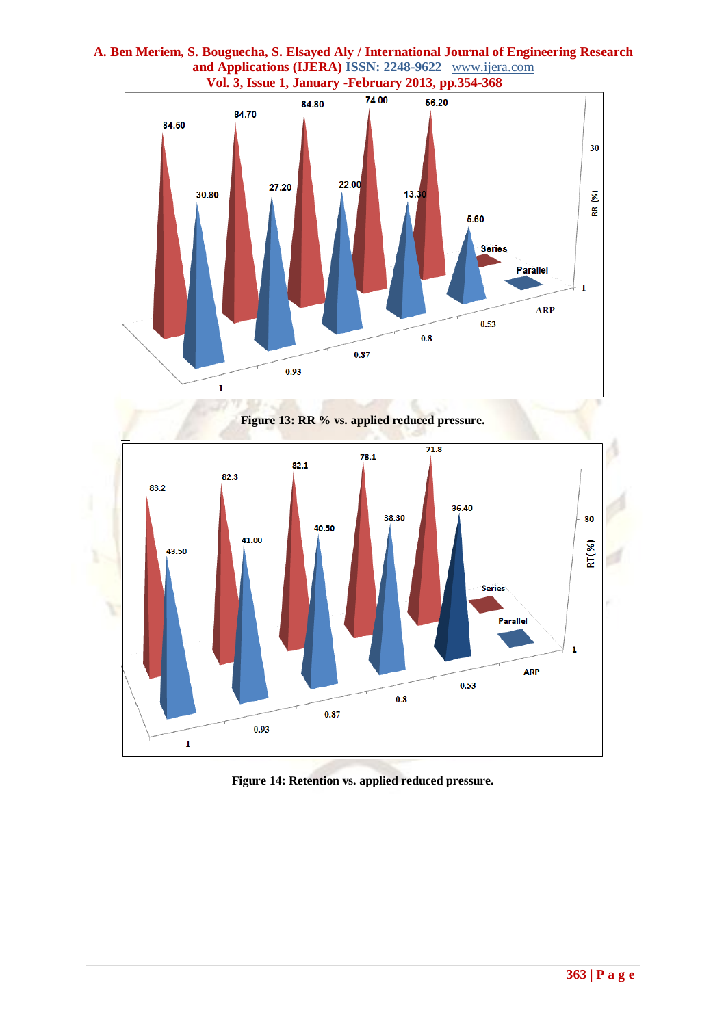

# **A. Ben Meriem, S. Bouguecha, S. Elsayed Aly / International Journal of Engineering Research and Applications (IJERA) ISSN: 2248-9622** www.ijera.com

**Figure 14: Retention vs. applied reduced pressure.**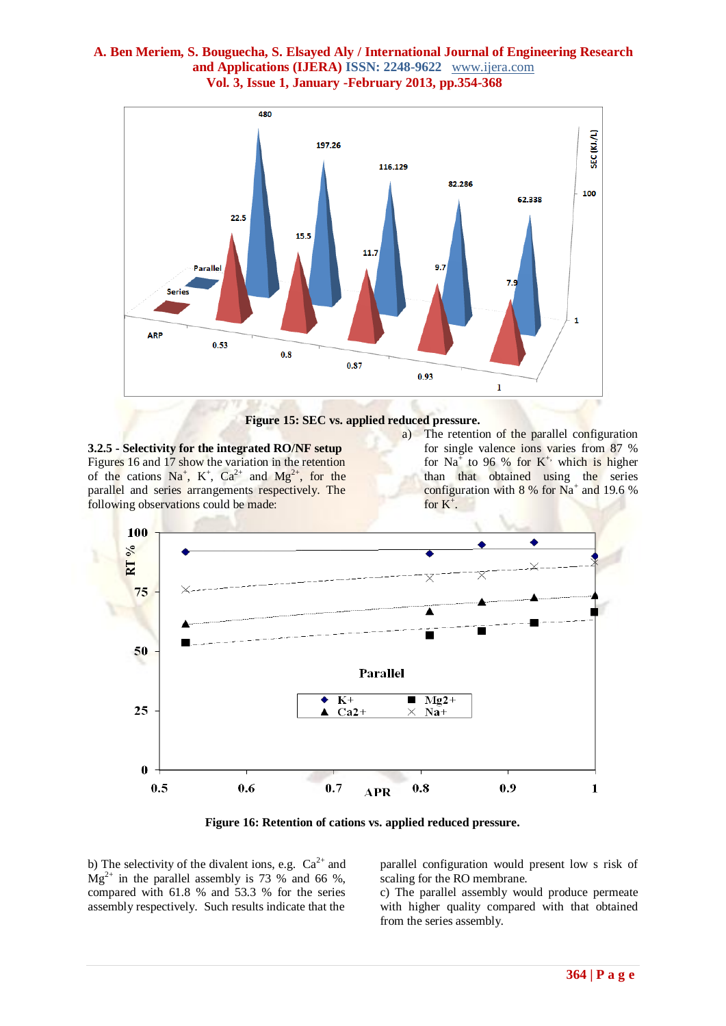

**Figure 15: SEC vs. applied reduced pressure.**

**3.2.5 - Selectivity for the integrated RO/NF setup** Figures 16 and 17 show the variation in the retention of the cations  $Na^+$ ,  $K^+$ ,  $Ca^{2+}$  and  $Mg^{2+}$ , for the parallel and series arrangements respectively. The following observations could be made:

a) The retention of the parallel configuration for single valence ions varies from 87 % for Na<sup>+</sup> to 96 % for  $K^+$ , which is higher than that obtained using the series configuration with  $8\%$  for Na<sup>+</sup> and 19.6 % for  $K^+$ .



**Figure 16: Retention of cations vs. applied reduced pressure.**

b) The selectivity of the divalent ions, e.g.  $Ca^{2+}$  and  $Mg^{2+}$  in the parallel assembly is 73 % and 66 %, compared with 61.8 % and 53.3 % for the series assembly respectively. Such results indicate that the

parallel configuration would present low s risk of scaling for the RO membrane.

c) The parallel assembly would produce permeate with higher quality compared with that obtained from the series assembly.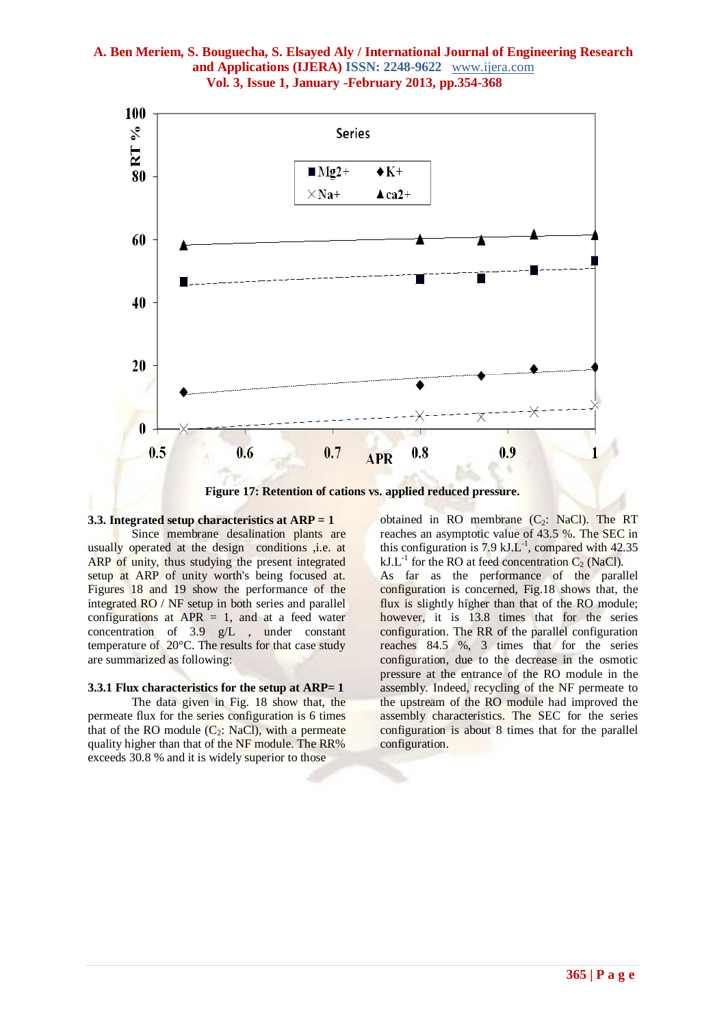

**Figure 17: Retention of cations vs. applied reduced pressure.**

#### **3.3. Integrated setup characteristics at ARP = 1**

Since membrane desalination plants are usually operated at the design conditions ,i.e. at ARP of unity, thus studying the present integrated setup at ARP of unity worth's being focused at. Figures 18 and 19 show the performance of the integrated RO / NF setup in both series and parallel configurations at  $APR = 1$ , and at a feed water concentration of 3.9 g/L , under constant temperature of 20°C. The results for that case study are summarized as following:

#### **3.3.1 Flux characteristics for the setup at ARP= 1**

The data given in Fig. 18 show that, the permeate flux for the series configuration is 6 times that of the RO module  $(C_2$ : NaCl), with a permeate quality higher than that of the NF module. The RR% exceeds 30.8 % and it is widely superior to those

obtained in RO membrane  $(C_2$ : NaCl). The RT reaches an asymptotic value of 43.5 %. The SEC in this configuration is 7.9  $kJ.L^{-1}$ , compared with 42.35  $kJ.L^{-1}$  for the RO at feed concentration C<sub>2</sub> (NaCl).

As far as the performance of the parallel configuration is concerned, Fig.18 shows that, the flux is slightly higher than that of the RO module; however, it is 13.8 times that for the series configuration. The RR of the parallel configuration reaches 84.5 %, 3 times that for the series configuration, due to the decrease in the osmotic pressure at the entrance of the RO module in the assembly. Indeed, recycling of the NF permeate to the upstream of the RO module had improved the assembly characteristics. The SEC for the series configuration is about 8 times that for the parallel configuration.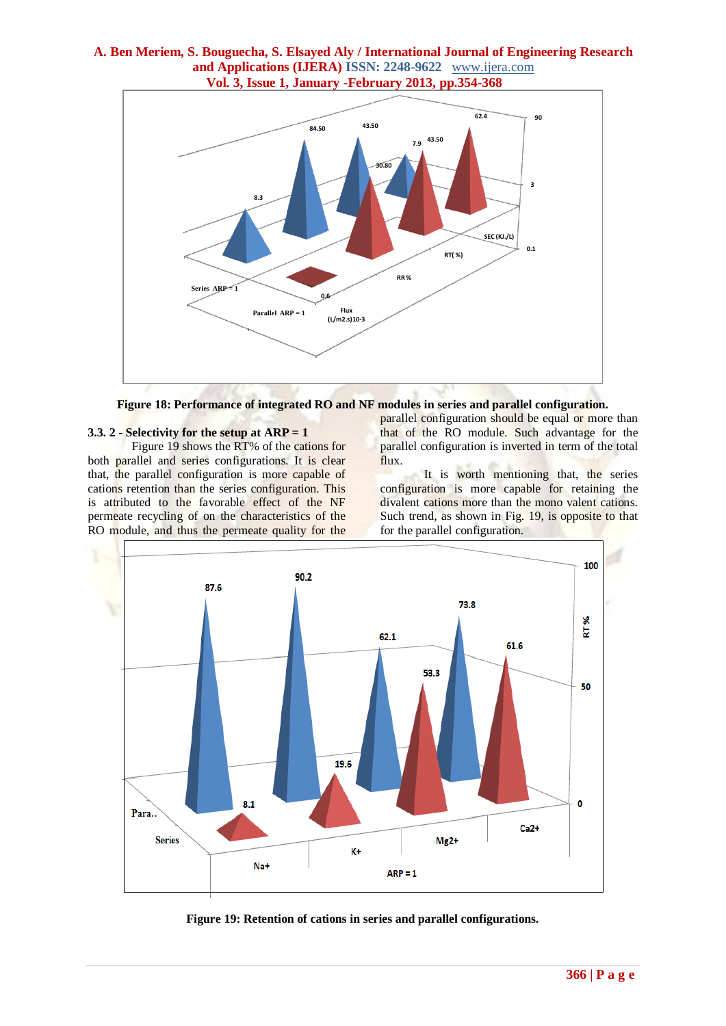



## **3.3. 2 - Selectivity for the setup at ARP = 1**

Figure 19 shows the RT% of the cations for both parallel and series configurations. It is clear that, the parallel configuration is more capable of cations retention than the series configuration. This is attributed to the favorable effect of the NF permeate recycling of on the characteristics of the RO module, and thus the permeate quality for the parallel configuration should be equal or more than that of the RO module. Such advantage for the parallel configuration is inverted in term of the total flux.

It is worth mentioning that, the series configuration is more capable for retaining the divalent cations more than the mono valent cations. Such trend, as shown in Fig. 19, is opposite to that for the parallel configuration.



**Figure 19: Retention of cations in series and parallel configurations.**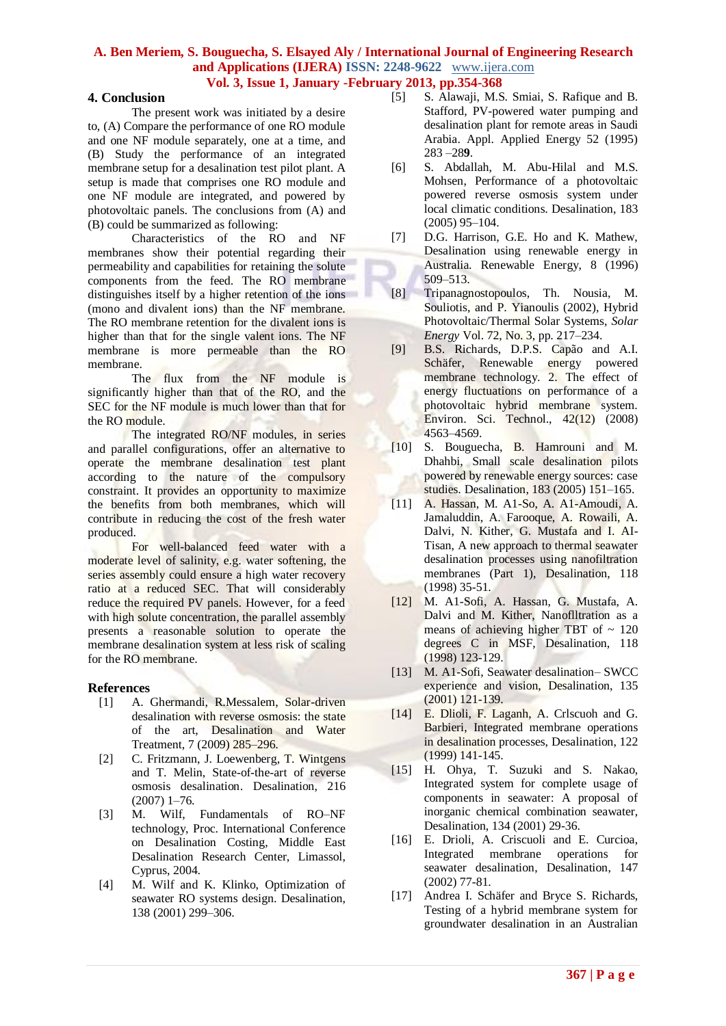#### **4. Conclusion**

The present work was initiated by a desire to, (A) Compare the performance of one RO module and one NF module separately, one at a time, and (B) Study the performance of an integrated membrane setup for a desalination test pilot plant. A setup is made that comprises one RO module and one NF module are integrated, and powered by photovoltaic panels. The conclusions from (A) and (B) could be summarized as following:

Characteristics of the RO and NF membranes show their potential regarding their permeability and capabilities for retaining the solute components from the feed. The RO membrane distinguishes itself by a higher retention of the ions (mono and divalent ions) than the NF membrane. The RO membrane retention for the divalent ions is higher than that for the single valent ions. The NF membrane is more permeable than the RO membrane.

The flux from the NF module is significantly higher than that of the RO, and the SEC for the NF module is much lower than that for the RO module.

The integrated RO/NF modules, in series and parallel configurations, offer an alternative to operate the membrane desalination test plant according to the nature of the compulsory constraint. It provides an opportunity to maximize the benefits from both membranes, which will contribute in reducing the cost of the fresh water produced.

For well-balanced feed water with a moderate level of salinity, e.g. water softening, the series assembly could ensure a high water recovery ratio at a reduced SEC. That will considerably reduce the required PV panels. However, for a feed with high solute concentration, the parallel assembly presents a reasonable solution to operate the membrane desalination system at less risk of scaling for the RO membrane.

#### **References**

- [1] A. Ghermandi, R.Messalem, Solar-driven desalination with reverse osmosis: the state of the art, Desalination and Water Treatment, 7 (2009) 285–296.
- [2] C. Fritzmann, J. Loewenberg, T. Wintgens and T. Melin, State-of-the-art of reverse osmosis desalination. Desalination, 216 (2007) 1–76.
- [3] M. Wilf, Fundamentals of RO–NF technology, Proc. International Conference on Desalination Costing, Middle East Desalination Research Center, Limassol, Cyprus, 2004.
- [4] M. Wilf and K. Klinko, Optimization of seawater RO systems design. Desalination, 138 (2001) 299–306.
- [5] S. Alawaji, M.S. Smiai, S. Rafique and B. Stafford, PV-powered water pumping and desalination plant for remote areas in Saudi Arabia. Appl. Applied Energy 52 (1995) 283 –28**9**.
- [6] S. Abdallah, M. Abu-Hilal and M.S. Mohsen, Performance of a photovoltaic powered reverse osmosis system under local climatic conditions. Desalination, 183 (2005) 95–104.
- [7] D.G. Harrison, G.E. Ho and K. Mathew, Desalination using renewable energy in Australia. Renewable Energy, 8 (1996) 509–513.
- [8] Tripanagnostopoulos, Th. Nousia, M. Souliotis, and P. Yianoulis (2002), Hybrid Photovoltaic/Thermal Solar Systems, *Solar Energy* Vol. 72, No. 3, pp. 217–234.
- [9] B.S. Richards, D.P.S. Capão and A.I. Schäfer, Renewable energy powered membrane technology. 2. The effect of energy fluctuations on performance of a photovoltaic hybrid membrane system. Environ. Sci. Technol., 42(12) (2008) 4563–4569.
- [10] S. Bouguecha, B. Hamrouni and M. Dhahbi, Small scale desalination pilots powered by renewable energy sources: case studies. Desalination, 183 (2005) 151–165.
- [11] A. Hassan, M. A1-So, A. A1-Amoudi, A. Jamaluddin, A. Farooque, A. Rowaili, A. Dalvi, N. Kither, G. Mustafa and I. AI-Tisan, A new approach to thermal seawater desalination processes using nanofiltration membranes (Part 1), Desalination, 118 (1998) 35-51.
- [12] M. A1-Sofi, A. Hassan, G. Mustafa, A. Dalvi and M. Kither, Nanoflltration as a means of achieving higher TBT of  $\sim 120$ degrees C in MSF, Desalination, 118 (1998) 123-129.
- [13] M. A1-Sofi, Seawater desalination– SWCC experience and vision, Desalination, 135 (2001) 121-139.
- [14] E. Dlioli, F. Laganh, A. Crlscuoh and G. Barbieri, Integrated membrane operations in desalination processes, Desalination, 122 (1999) 141-145.
- [15] H. Ohya, T. Suzuki and S. Nakao, Integrated system for complete usage of components in seawater: A proposal of inorganic chemical combination seawater, Desalination, 134 (2001) 29-36.
- [16] E. Drioli, A. Criscuoli and E. Curcioa, Integrated membrane operations for seawater desalination, Desalination, 147 (2002) 77-81.
- [17] Andrea I. Schäfer and Bryce S. Richards, Testing of a hybrid membrane system for groundwater desalination in an Australian